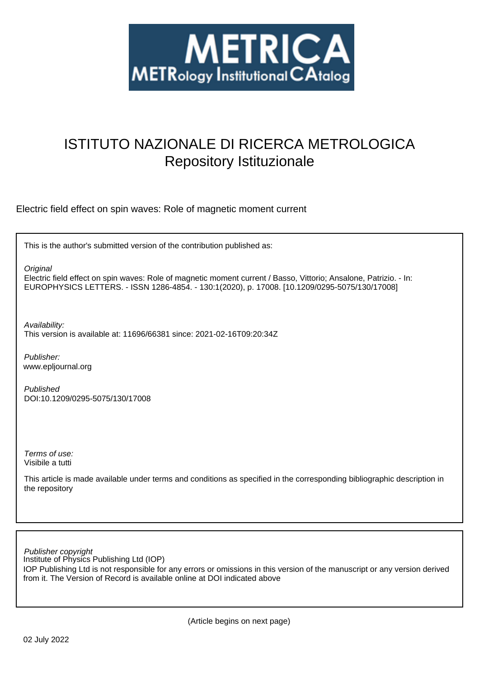

## ISTITUTO NAZIONALE DI RICERCA METROLOGICA Repository Istituzionale

Electric field effect on spin waves: Role of magnetic moment current

This is the author's submitted version of the contribution published as:

**Original** 

Electric field effect on spin waves: Role of magnetic moment current / Basso, Vittorio; Ansalone, Patrizio. - In: EUROPHYSICS LETTERS. - ISSN 1286-4854. - 130:1(2020), p. 17008. [10.1209/0295-5075/130/17008]

Availability: This version is available at: 11696/66381 since: 2021-02-16T09:20:34Z

Publisher: www.epljournal.org

Published DOI:10.1209/0295-5075/130/17008

Terms of use: Visibile a tutti

This article is made available under terms and conditions as specified in the corresponding bibliographic description in the repository

Institute of Physics Publishing Ltd (IOP) Publisher copyright

IOP Publishing Ltd is not responsible for any errors or omissions in this version of the manuscript or any version derived from it. The Version of Record is available online at DOI indicated above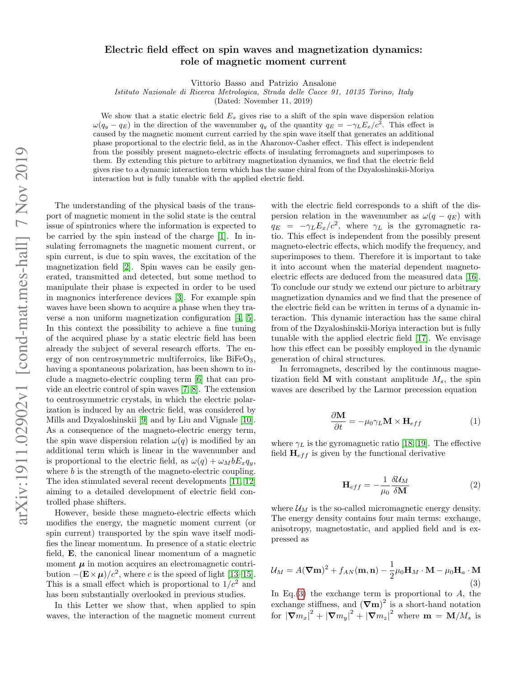## Electric field effect on spin waves and magnetization dynamics: role of magnetic moment current

Vittorio Basso and Patrizio Ansalone

*Istituto Nazionale di Ricerca Metrologica, Strada delle Cacce 91, 10135 Torino, Italy*

(Dated: November 11, 2019)

We show that a static electric field  $E_x$  gives rise to a shift of the spin wave dispersion relation  $\omega(q_y - q_E)$  in the direction of the wavenumber  $q_y$  of the quantity  $q_E = -\gamma_L E_x/c^2$ . This effect is caused by the magnetic moment current carried by the spin wave itself that generates an additional phase proportional to the electric field, as in the Aharonov-Casher effect. This effect is independent from the possibly present magneto-electric effects of insulating ferromagnets and superimposes to them. By extending this picture to arbitrary magnetization dynamics, we find that the electric field gives rise to a dynamic interaction term which has the same chiral from of the Dzyaloshinskii-Moriya interaction but is fully tunable with the applied electric field.

The understanding of the physical basis of the transport of magnetic moment in the solid state is the central issue of spintronics where the information is expected to be carried by the spin instead of the charge [\[1\]](#page-5-0). In insulating ferromagnets the magnetic moment current, or spin current, is due to spin waves, the excitation of the magnetization field [\[2\]](#page-5-1). Spin waves can be easily generated, transmitted and detected, but some method to manipulate their phase is expected in order to be used in magnonics interference devices [\[3\]](#page-5-2). For example spin waves have been shown to acquire a phase when they traverse a non uniform magnetization configuration [\[4,](#page-5-3) [5\]](#page-5-4). In this context the possibility to achieve a fine tuning of the acquired phase by a static electric field has been already the subject of several research efforts. The energy of non centrosymmetric multiferroics, like  $BiFeO<sub>3</sub>$ , having a spontaneous polarization, has been shown to include a magneto-electric coupling term [\[6\]](#page-5-5) that can provide an electric control of spin waves [\[7,](#page-5-6) [8\]](#page-5-7). The extension to centrosymmetric crystals, in which the electric polarization is induced by an electric field, was considered by Mills and Dzyaloshinskii [\[9\]](#page-5-8) and by Liu and Vignale [\[10\]](#page-5-9). As a consequence of the magneto-electric energy term, the spin wave dispersion relation  $\omega(q)$  is modified by an additional term which is linear in the wavenumber and is proportional to the electric field, as  $\omega(q) + \omega_M b E_x q_y$ , where b is the strength of the magneto-electric coupling. The idea stimulated several recent developments [\[11,](#page-5-10) [12\]](#page-5-11) aiming to a detailed development of electric field controlled phase shifters.

However, beside these magneto-electric effects which modifies the energy, the magnetic moment current (or spin current) transported by the spin wave itself modifies the linear momentum. In presence of a static electric field, E, the canonical linear momentum of a magnetic moment  $\mu$  in motion acquires an electromagnetic contribution  $-(\mathbf{E}\times\boldsymbol{\mu})/c^2$ , where c is the speed of light [\[13–](#page-6-0)[15\]](#page-6-1). This is a small effect which is proportional to  $1/c^2$  and has been substantially overlooked in previous studies.

In this Letter we show that, when applied to spin waves, the interaction of the magnetic moment current

with the electric field corresponds to a shift of the dispersion relation in the wavenumber as  $\omega(q - q_E)$  with  $q_E = -\gamma_L E_x/c^2$ , where  $\gamma_L$  is the gyromagnetic ratio. This effect is independent from the possibly present magneto-electric effects, which modify the frequency, and superimposes to them. Therefore it is important to take it into account when the material dependent magnetoelectric effects are deduced from the measured data [\[16\]](#page-6-2). To conclude our study we extend our picture to arbitrary magnetization dynamics and we find that the presence of the electric field can be written in terms of a dynamic interaction. This dynamic interaction has the same chiral from of the Dzyaloshinskii-Moriya interaction but is fully tunable with the applied electric field [\[17\]](#page-6-3). We envisage how this effect can be possibly employed in the dynamic generation of chiral structures.

In ferromagnets, described by the continuous magnetization field  $\bf{M}$  with constant amplitude  $M_s$ , the spin waves are described by the Larmor precession equation

<span id="page-1-2"></span>
$$
\frac{\partial \mathbf{M}}{\partial t} = -\mu_0 \gamma_L \mathbf{M} \times \mathbf{H}_{eff} \tag{1}
$$

where  $\gamma_L$  is the gyromagnetic ratio [\[18,](#page-6-4) [19\]](#page-6-5). The effective field  $\mathbf{H}_{eff}$  is given by the functional derivative

<span id="page-1-1"></span>
$$
\mathbf{H}_{eff} = -\frac{1}{\mu_0} \frac{\delta \mathcal{U}_M}{\delta \mathbf{M}} \tag{2}
$$

where  $\mathcal{U}_M$  is the so-called micromagnetic energy density. The energy density contains four main terms: exchange, anisotropy, magnetostatic, and applied field and is expressed as

<span id="page-1-0"></span>
$$
\mathcal{U}_M = A(\nabla \mathbf{m})^2 + f_{AN}(\mathbf{m}, \mathbf{n}) - \frac{1}{2}\mu_0 \mathbf{H}_M \cdot \mathbf{M} - \mu_0 \mathbf{H}_a \cdot \mathbf{M}
$$
\n(3)

In Eq.[\(3\)](#page-1-0) the exchange term is proportional to  $A$ , the exchange stiffness, and  $(\nabla \mathbf{m})^2$  is a short-hand notation for  $|\nabla m_x|^2 + |\nabla m_y|^2 + |\nabla m_z|^2$  where  $\mathbf{m} = \mathbf{M}/M_s$  is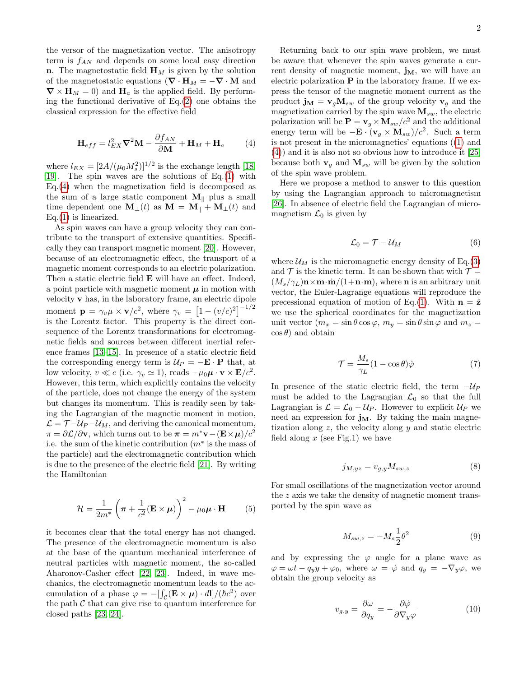the versor of the magnetization vector. The anisotropy term is f*AN* and depends on some local easy direction **n**. The magnetostatic field  $\mathbf{H}_M$  is given by the solution of the magnetostatic equations ( $\nabla \cdot \mathbf{H}_M = -\nabla \cdot \mathbf{M}$  and  $\nabla \times \mathbf{H}_M = 0$  and  $\mathbf{H}_a$  is the applied field. By performing the functional derivative of  $Eq.(2)$  $Eq.(2)$  one obtains the classical expression for the effective field

<span id="page-2-0"></span>
$$
\mathbf{H}_{eff} = l_{EX}^2 \nabla^2 \mathbf{M} - \frac{\partial f_{AN}}{\partial \mathbf{M}} + \mathbf{H}_M + \mathbf{H}_a \tag{4}
$$

where  $l_{EX} = [2A/(\mu_0 M_s^2)]^{1/2}$  is the exchange length [\[18,](#page-6-4) [19\]](#page-6-5). The spin waves are the solutions of Eq.[\(1\)](#page-1-2) with Eq.[\(4\)](#page-2-0) when the magnetization field is decomposed as the sum of a large static component  $M_{\parallel}$  plus a small time dependent one  $\mathbf{M}_{\perp}(t)$  as  $\mathbf{M} = \mathbf{M}_{\parallel} + \mathbf{M}_{\perp}(t)$  and  $Eq.(1)$  $Eq.(1)$  is linearized.

As spin waves can have a group velocity they can contribute to the transport of extensive quantities. Specifically they can transport magnetic moment [\[20\]](#page-6-6). However, because of an electromagnetic effect, the transport of a magnetic moment corresponds to an electric polarization. Then a static electric field E will have an effect. Indeed, a point particle with magnetic moment  $\mu$  in motion with velocity v has, in the laboratory frame, an electric dipole moment  $\mathbf{p} = \gamma_v \mu \times \mathbf{v}/c^2$ , where  $\gamma_v = \left[1 - (v/c)^2\right]^{-1/2}$ is the Lorentz factor. This property is the direct consequence of the Lorentz transformations for electromagnetic fields and sources between different inertial reference frames [\[13](#page-6-0)[–15\]](#page-6-1). In presence of a static electric field the corresponding energy term is  $U_P = -\mathbf{E} \cdot \mathbf{P}$  that, at low velocity,  $v \ll c$  (i.e.  $\gamma_v \approx 1$ ), reads  $-\mu_0 \mu \cdot \mathbf{v} \times \mathbf{E}/c^2$ . However, this term, which explicitly contains the velocity of the particle, does not change the energy of the system but changes its momentum. This is readily seen by taking the Lagrangian of the magnetic moment in motion,  $\mathcal{L} = \mathcal{T} - \mathcal{U}_P - \mathcal{U}_M$ , and deriving the canonical momentum,  $\pi = \partial \mathcal{L}/\partial \mathbf{v}$ , which turns out to be  $\pi = m^* \mathbf{v} - (E \times \mu)/c^2$ i.e. the sum of the kinetic contribution  $(m^*)$  is the mass of the particle) and the electromagnetic contribution which is due to the presence of the electric field [\[21\]](#page-6-7). By writing the Hamiltonian

<span id="page-2-1"></span>
$$
\mathcal{H} = \frac{1}{2m^*} \left( \boldsymbol{\pi} + \frac{1}{c^2} (\mathbf{E} \times \boldsymbol{\mu}) \right)^2 - \mu_0 \boldsymbol{\mu} \cdot \mathbf{H} \qquad (5)
$$

it becomes clear that the total energy has not changed. The presence of the electromagnetic momentum is also at the base of the quantum mechanical interference of neutral particles with magnetic moment, the so-called Aharonov-Casher effect [\[22,](#page-6-8) [23\]](#page-6-9). Indeed, in wave mechanics, the electromagnetic momentum leads to the accumulation of a phase  $\varphi = -\left[\int_{\mathcal{C}} (\mathbf{E} \times \boldsymbol{\mu}) \cdot d\mathbf{l}\right] / (\hbar c^2)$  over the path  $\mathcal C$  that can give rise to quantum interference for closed paths [\[23,](#page-6-9) [24\]](#page-6-10).

Returning back to our spin wave problem, we must be aware that whenever the spin waves generate a current density of magnetic moment,  $\mathbf{j}_M$ , we will have an electric polarization  $P$  in the laboratory frame. If we express the tensor of the magnetic moment current as the product  $\mathbf{j}_M = \mathbf{v}_q \mathbf{M}_{sw}$  of the group velocity  $\mathbf{v}_q$  and the magnetization carried by the spin wave M*sw*, the electric polarization will be  $\mathbf{P} = \mathbf{v}_g \times \mathbf{M}_{sw}/c^2$  and the additional energy term will be  $-\mathbf{E} \cdot (\mathbf{v}_q \times \mathbf{M}_{sw})/c^2$ . Such a term is not present in the micromagnetics' equations ([\(1\)](#page-1-2) and [\(4\)](#page-2-0)) and it is also not so obvious how to introduce it [\[25\]](#page-6-11) because both  $v_g$  and  $M_{sw}$  will be given by the solution of the spin wave problem.

Here we propose a method to answer to this question by using the Lagrangian approach to micromagnetism [\[26\]](#page-6-12). In absence of electric field the Lagrangian of micromagnetism  $\mathcal{L}_0$  is given by

$$
\mathcal{L}_0 = \mathcal{T} - \mathcal{U}_M \tag{6}
$$

where  $\mathcal{U}_M$  is the micromagnetic energy density of Eq.[\(3\)](#page-1-0) and  $\mathcal T$  is the kinetic term. It can be shown that with  $\mathcal T =$  $(M_s/\gamma_L)\mathbf{n}\times\mathbf{m}\cdot\dot{\mathbf{m}}/(1+\mathbf{n}\cdot\mathbf{m})$ , where **n** is an arbitrary unit vector, the Euler-Lagrange equations will reproduce the precessional equation of motion of Eq.[\(1\)](#page-1-2). With  $\mathbf{n} = \hat{\mathbf{z}}$ we use the spherical coordinates for the magnetization unit vector  $(m_x = \sin \theta \cos \varphi, m_y = \sin \theta \sin \varphi$  and  $m_z =$  $\cos \theta$ ) and obtain

<span id="page-2-2"></span>
$$
\mathcal{T} = \frac{M_s}{\gamma_L} (1 - \cos \theta) \dot{\varphi}
$$
 (7)

In presence of the static electric field, the term  $-\mathcal{U}_P$ must be added to the Lagrangian  $\mathcal{L}_0$  so that the full Lagrangian is  $\mathcal{L} = \mathcal{L}_0 - \mathcal{U}_P$ . However to explicit  $\mathcal{U}_P$  we need an expression for  $\mathbf{j}_M$ . By taking the main magnetization along  $z$ , the velocity along  $y$  and static electric field along  $x$  (see Fig.1) we have

$$
j_{M,yz} = v_{g,y} M_{sw,z} \tag{8}
$$

For small oscillations of the magnetization vector around the z axis we take the density of magnetic moment transported by the spin wave as

$$
M_{sw,z} = -M_s \frac{1}{2} \theta^2 \tag{9}
$$

and by expressing the  $\varphi$  angle for a plane wave as  $\varphi = \omega t - q_y y + \varphi_0$ , where  $\omega = \dot{\varphi}$  and  $q_y = -\nabla_y \varphi$ , we obtain the group velocity as

$$
v_{g,y} = \frac{\partial \omega}{\partial q_y} = -\frac{\partial \dot{\varphi}}{\partial \nabla_y \varphi}
$$
 (10)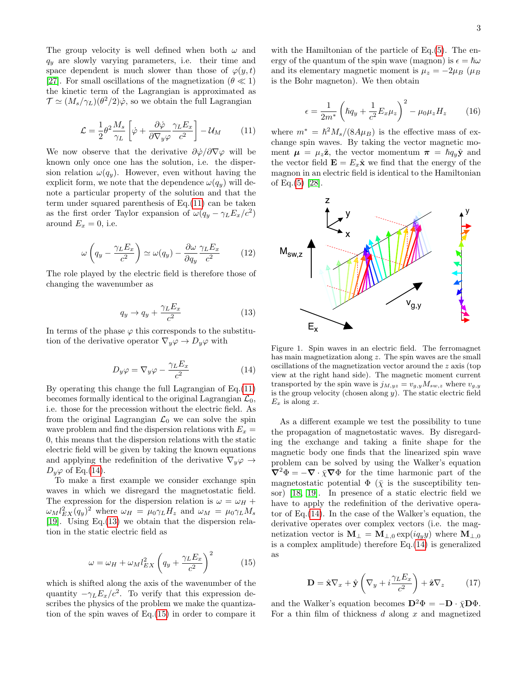The group velocity is well defined when both  $\omega$  and q*<sup>y</sup>* are slowly varying parameters, i.e. their time and space dependent is much slower than those of  $\varphi(y, t)$ [\[27\]](#page-6-13). For small oscillations of the magnetization ( $\theta \ll 1$ ) the kinetic term of the Lagrangian is approximated as  $\mathcal{T} \simeq (M_s/\gamma_L)(\theta^2/2)\dot{\varphi}$ , so we obtain the full Lagrangian

<span id="page-3-0"></span>
$$
\mathcal{L} = \frac{1}{2} \theta^2 \frac{M_s}{\gamma_L} \left[ \dot{\varphi} + \frac{\partial \dot{\varphi}}{\partial \nabla_y \varphi} \frac{\gamma_L E_x}{c^2} \right] - \mathcal{U}_M \tag{11}
$$

We now observe that the derivative  $\partial \dot{\varphi}/\partial \nabla \varphi$  will be known only once one has the solution, i.e. the dispersion relation  $\omega(q_y)$ . However, even without having the explicit form, we note that the dependence  $\omega(q_y)$  will denote a particular property of the solution and that the term under squared parenthesis of Eq.[\(11\)](#page-3-0) can be taken as the first order Taylor expansion of  $\omega(q_y - \gamma_L E_x/c^2)$ around  $E_x = 0$ , i.e.

$$
\omega \left( q_y - \frac{\gamma_L E_x}{c^2} \right) \simeq \omega(q_y) - \frac{\partial \omega}{\partial q_y} \frac{\gamma_L E_x}{c^2} \tag{12}
$$

The role played by the electric field is therefore those of changing the wavenumber as

<span id="page-3-2"></span>
$$
q_y \to q_y + \frac{\gamma_L E_x}{c^2} \tag{13}
$$

In terms of the phase  $\varphi$  this corresponds to the substitution of the derivative operator  $\nabla_y \varphi \to D_y \varphi$  with

<span id="page-3-1"></span>
$$
D_y \varphi = \nabla_y \varphi - \frac{\gamma_L E_x}{c^2} \tag{14}
$$

By operating this change the full Lagrangian of Eq.[\(11\)](#page-3-0) becomes formally identical to the original Lagrangian  $\mathcal{L}_0$ , i.e. those for the precession without the electric field. As from the original Lagrangian  $\mathcal{L}_0$  we can solve the spin wave problem and find the dispersion relations with  $E_x =$ 0, this means that the dispersion relations with the static electric field will be given by taking the known equations and applying the redefinition of the derivative  $\nabla_y \varphi \rightarrow$  $D_y\varphi$  of Eq.[\(14\)](#page-3-1).

To make a first example we consider exchange spin waves in which we disregard the magnetostatic field. The expression for the dispersion relation is  $\omega = \omega_H +$  $\omega_M l_{EX}^2(q_y)^2$  where  $\omega_H = \mu_0 \gamma_L H_z$  and  $\omega_M = \mu_0 \gamma_L M_s$ [\[19\]](#page-6-5). Using Eq.[\(13\)](#page-3-2) we obtain that the dispersion relation in the static electric field as

<span id="page-3-3"></span>
$$
\omega = \omega_H + \omega_M l_{EX}^2 \left( q_y + \frac{\gamma_L E_x}{c^2} \right)^2 \tag{15}
$$

which is shifted along the axis of the wavenumber of the quantity  $-\gamma_L E_x/c^2$ . To verify that this expression describes the physics of the problem we make the quantization of the spin waves of Eq.[\(15\)](#page-3-3) in order to compare it

with the Hamiltonian of the particle of Eq.[\(5\)](#page-2-1). The energy of the quantum of the spin wave (magnon) is  $\epsilon = \hbar \omega$ and its elementary magnetic moment is  $\mu_z = -2\mu_B$  ( $\mu_B$ is the Bohr magneton). We then obtain

$$
\epsilon = \frac{1}{2m^*} \left( \hbar q_y + \frac{1}{c^2} E_x \mu_z \right)^2 - \mu_0 \mu_z H_z \tag{16}
$$

where  $m^* = \hbar^2 M_s/(8A\mu_B)$  is the effective mass of exchange spin waves. By taking the vector magnetic moment  $\mu = \mu_z \hat{\mathbf{z}}$ , the vector momentum  $\pi = \hbar q_y \hat{\mathbf{y}}$  and the vector field  $\mathbf{E} = E_x \hat{\mathbf{x}}$  we find that the energy of the magnon in an electric field is identical to the Hamiltonian of Eq.[\(5\)](#page-2-1) [\[28\]](#page-6-14).



Figure 1. Spin waves in an electric field. The ferromagnet has main magnetization along z. The spin waves are the small oscillations of the magnetization vector around the z axis (top view at the right hand side). The magnetic moment current transported by the spin wave is  $j_{M,yz} = v_{g,y} M_{sw,z}$  where  $v_{g,y}$ is the group velocity (chosen along  $y$ ). The static electric field  $E_x$  is along x.

As a different example we test the possibility to tune the propagation of magnetostatic waves. By disregarding the exchange and taking a finite shape for the magnetic body one finds that the linearized spin wave problem can be solved by using the Walker's equation  $\nabla^2 \Phi = -\nabla \cdot \bar{\chi} \nabla \Phi$  for the time harmonic part of the magnetostatic potential  $\Phi(\bar{\chi})$  is the susceptibility tensor) [\[18,](#page-6-4) [19\]](#page-6-5). In presence of a static electric field we have to apply the redefinition of the derivative operator of Eq.[\(14\)](#page-3-1). In the case of the Walker's equation, the derivative operates over complex vectors (i.e. the magnetization vector is  $\mathbf{M}_{\perp} = \mathbf{M}_{\perp,0} \exp(i q_y y)$  where  $\mathbf{M}_{\perp,0}$ is a complex amplitude) therefore Eq.[\(14\)](#page-3-1) is generalized as

<span id="page-3-4"></span>
$$
\mathbf{D} = \hat{\mathbf{x}} \nabla_x + \hat{\mathbf{y}} \left( \nabla_y + i \frac{\gamma_L E_x}{c^2} \right) + \hat{\mathbf{z}} \nabla_z \tag{17}
$$

and the Walker's equation becomes  $\mathbf{D}^2 \Phi = -\mathbf{D} \cdot \bar{\chi} \mathbf{D} \Phi$ . For a thin film of thickness  $d$  along  $x$  and magnetized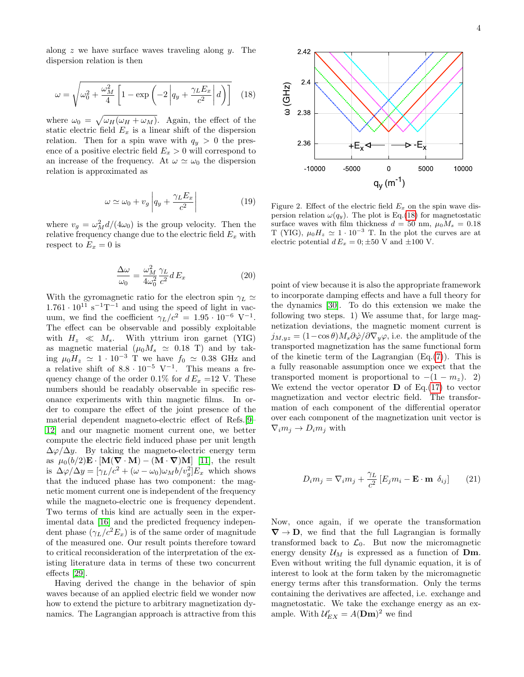along  $z$  we have surface waves traveling along  $y$ . The dispersion relation is then

<span id="page-4-0"></span>
$$
\omega = \sqrt{\omega_0^2 + \frac{\omega_M^2}{4} \left[ 1 - \exp\left( -2 \left| q_y + \frac{\gamma_L E_x}{c^2} \right| d \right) \right]} \quad (18)
$$

where  $\omega_0 = \sqrt{\omega_H(\omega_H + \omega_M)}$ . Again, the effect of the static electric field  $E_x$  is a linear shift of the dispersion relation. Then for a spin wave with  $q_y > 0$  the presence of a positive electric field  $E_x > 0$  will correspond to an increase of the frequency. At  $\omega \simeq \omega_0$  the dispersion relation is approximated as

$$
\omega \simeq \omega_0 + v_g \left| q_y + \frac{\gamma_L E_x}{c^2} \right| \tag{19}
$$

where  $v_g = \omega_M^2 d/(4\omega_0)$  is the group velocity. Then the relative frequency change due to the electric field E*<sup>x</sup>* with respect to  $E_x = 0$  is

$$
\frac{\Delta\omega}{\omega_0} = \frac{\omega_M^2}{4\omega_0^2} \frac{\gamma_L}{c^2} dE_x \tag{20}
$$

With the gyromagnetic ratio for the electron spin  $\gamma_L \simeq$  $1.761 \cdot 10^{11} \text{ s}^{-1} \text{T}^{-1}$  and using the speed of light in vacuum, we find the coefficient  $\gamma_L/c^2 = 1.95 \cdot 10^{-6}$  V<sup>-1</sup>. The effect can be observable and possibly exploitable with  $H_z \ll M_s$ . With yttrium iron garnet (YIG) as magnetic material  $(\mu_0 M_s \simeq 0.18 \text{ T})$  and by taking  $\mu_0H_z \simeq 1 \cdot 10^{-3}$  T we have  $f_0 \simeq 0.38$  GHz and a relative shift of  $8.8 \cdot 10^{-5}$  V<sup>-1</sup>. This means a frequency change of the order 0.1% for  $d E_x = 12$  V. These numbers should be readably observable in specific resonance experiments with thin magnetic films. In order to compare the effect of the joint presence of the material dependent magneto-electric effect of Refs.[\[9–](#page-5-8) [12\]](#page-5-11) and our magnetic moment current one, we better compute the electric field induced phase per unit length  $\Delta\varphi/\Delta y$ . By taking the magneto-electric energy term as  $\mu_0(b/2)\mathbf{E} \cdot [\mathbf{M}(\nabla \cdot \mathbf{M}) - (\mathbf{M} \cdot \nabla)\mathbf{M}]$  [\[11\]](#page-5-10), the result is  $\Delta \varphi / \Delta y = [\gamma_L / c^2 + (\omega - \omega_0) \omega_M b / v_g^2] E_x$  which shows that the induced phase has two component: the magnetic moment current one is independent of the frequency while the magneto-electric one is frequency dependent. Two terms of this kind are actually seen in the experimental data [\[16\]](#page-6-2) and the predicted frequency independent phase  $(\gamma_L/c^2 E_x)$  is of the same order of magnitude of the measured one. Our result points therefore toward to critical reconsideration of the interpretation of the existing literature data in terms of these two concurrent effects [\[29\]](#page-6-15).

Having derived the change in the behavior of spin waves because of an applied electric field we wonder now how to extend the picture to arbitrary magnetization dynamics. The Lagrangian approach is attractive from this



Figure 2. Effect of the electric field  $E<sub>x</sub>$  on the spin wave dispersion relation  $\omega(q_y)$ . The plot is Eq.[\(18\)](#page-4-0) for magnetostatic surface waves with film thickness  $d = 50$  nm,  $\mu_0 M_s = 0.18$ T (YIG),  $\mu_0 H_z \simeq 1 \cdot 10^{-3}$  T. In the plot the curves are at electric potential  $d E_x = 0; \pm 50$  V and  $\pm 100$  V.

point of view because it is also the appropriate framework to incorporate damping effects and have a full theory for the dynamics [\[30\]](#page-6-16). To do this extension we make the following two steps. 1) We assume that, for large magnetization deviations, the magnetic moment current is  $j_{M,yz} = (1-\cos\theta)M_s\partial\dot{\varphi}/\partial\nabla_y\varphi$ , i.e. the amplitude of the transported magnetization has the same functional form of the kinetic term of the Lagrangian  $(Eq.(7))$  $(Eq.(7))$  $(Eq.(7))$ . This is a fully reasonable assumption once we expect that the transported moment is proportional to  $-(1 - m_z)$ . 2) We extend the vector operator  $\bf{D}$  of Eq.[\(17\)](#page-3-4) to vector magnetization and vector electric field. The transformation of each component of the differential operator over each component of the magnetization unit vector is  $\nabla_i m_j \to D_i m_j$  with

$$
D_i m_j = \nabla_i m_j + \frac{\gamma_L}{c^2} \left[ E_j m_i - \mathbf{E} \cdot \mathbf{m} \, \delta_{ij} \right] \qquad (21)
$$

Now, once again, if we operate the transformation  $\nabla \rightarrow D$ , we find that the full Lagrangian is formally transformed back to  $\mathcal{L}_0$ . But now the micromagnetic energy density  $\mathcal{U}_M$  is expressed as a function of **Dm**. Even without writing the full dynamic equation, it is of interest to look at the form taken by the micromagnetic energy terms after this transformation. Only the terms containing the derivatives are affected, i.e. exchange and magnetostatic. We take the exchange energy as an example. With  $\mathcal{U}_{EX}^{\prime} = A(\mathbf{Dm})^2$  we find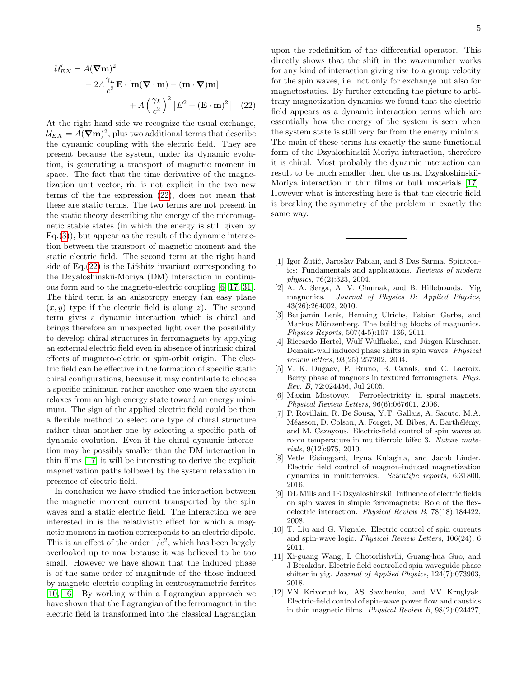$$
\mathcal{U}'_{EX} = A(\nabla \mathbf{m})^2
$$
  
- 2A  $\frac{\gamma_L}{c^2} \mathbf{E} \cdot [\mathbf{m}(\nabla \cdot \mathbf{m}) - (\mathbf{m} \cdot \nabla) \mathbf{m}]$   
+ A  $\left(\frac{\gamma_L}{c^2}\right)^2 \left[E^2 + (\mathbf{E} \cdot \mathbf{m})^2\right]$  (22)

At the right hand side we recognize the usual exchange,  $U_{EX} = A(\nabla \mathbf{m})^2$ , plus two additional terms that describe the dynamic coupling with the electric field. They are present because the system, under its dynamic evolution, is generating a transport of magnetic moment in space. The fact that the time derivative of the magnetization unit vector,  $\dot{m}$ , is not explicit in the two new terms of the the expression [\(22\)](#page-5-12), does not mean that these are static terms. The two terms are not present in the static theory describing the energy of the micromagnetic stable states (in which the energy is still given by  $Eq.(3)$  $Eq.(3)$ , but appear as the result of the dynamic interaction between the transport of magnetic moment and the static electric field. The second term at the right hand side of Eq.[\(22\)](#page-5-12) is the Lifshitz invariant corresponding to the Dzyaloshinskii-Moriya (DM) interaction in continuous form and to the magneto-electric coupling [\[6,](#page-5-5) [17,](#page-6-3) [31\]](#page-6-17). The third term is an anisotropy energy (an easy plane  $(x, y)$  type if the electric field is along z). The second term gives a dynamic interaction which is chiral and brings therefore an unexpected light over the possibility to develop chiral structures in ferromagnets by applying an external electric field even in absence of intrinsic chiral effects of magneto-eletric or spin-orbit origin. The electric field can be effective in the formation of specific static chiral configurations, because it may contribute to choose a specific minimum rather another one when the system relaxes from an high energy state toward an energy minimum. The sign of the applied electric field could be then a flexible method to select one type of chiral structure rather than another one by selecting a specific path of dynamic evolution. Even if the chiral dynamic interaction may be possibly smaller than the DM interaction in thin films [\[17\]](#page-6-3) it will be interesting to derive the explicit magnetization paths followed by the system relaxation in presence of electric field.

In conclusion we have studied the interaction between the magnetic moment current transported by the spin waves and a static electric field. The interaction we are interested in is the relativistic effect for which a magnetic moment in motion corresponds to an electric dipole. This is an effect of the order  $1/c^2$ , which has been largely overlooked up to now because it was believed to be too small. However we have shown that the induced phase is of the same order of magnitude of the those induced by magneto-electric coupling in centrosymmetric ferrites [\[10,](#page-5-9) [16\]](#page-6-2). By working within a Lagrangian approach we have shown that the Lagrangian of the ferromagnet in the electric field is transformed into the classical Lagrangian <span id="page-5-12"></span>upon the redefinition of the differential operator. This directly shows that the shift in the wavenumber works for any kind of interaction giving rise to a group velocity for the spin waves, i.e. not only for exchange but also for magnetostatics. By further extending the picture to arbitrary magnetization dynamics we found that the electric field appears as a dynamic interaction terms which are essentially how the energy of the system is seen when the system state is still very far from the energy minima. The main of these terms has exactly the same functional form of the Dzyaloshinskii-Moriya interaction, therefore it is chiral. Most probably the dynamic interaction can result to be much smaller then the usual Dzyaloshinskii-Moriya interaction in thin films or bulk materials [\[17\]](#page-6-3). However what is interesting here is that the electric field is breaking the symmetry of the problem in exactly the same way.

- <span id="page-5-0"></span>[1] Igor Žutić, Jaroslav Fabian, and S Das Sarma. Spintronics: Fundamentals and applications. *Reviews of modern physics*, 76(2):323, 2004.
- <span id="page-5-1"></span>[2] A. A. Serga, A. V. Chumak, and B. Hillebrands. Yig magnonics. *Journal of Physics D: Applied Physics*, 43(26):264002, 2010.
- <span id="page-5-2"></span>[3] Benjamin Lenk, Henning Ulrichs, Fabian Garbs, and Markus Münzenberg. The building blocks of magnonics. *Physics Reports*, 507(4-5):107–136, 2011.
- <span id="page-5-3"></span>[4] Riccardo Hertel, Wulf Wulfhekel, and Jürgen Kirschner. Domain-wall induced phase shifts in spin waves. *Physical review letters*, 93(25):257202, 2004.
- <span id="page-5-4"></span>[5] V. K. Dugaev, P. Bruno, B. Canals, and C. Lacroix. Berry phase of magnons in textured ferromagnets. *Phys. Rev. B*, 72:024456, Jul 2005.
- <span id="page-5-5"></span>[6] Maxim Mostovoy. Ferroelectricity in spiral magnets. *Physical Review Letters*, 96(6):067601, 2006.
- <span id="page-5-6"></span>[7] P. Rovillain, R. De Sousa, Y.T. Gallais, A. Sacuto, M.A. Méasson, D. Colson, A. Forget, M. Bibes, A. Barthélémy, and M. Cazayous. Electric-field control of spin waves at room temperature in multiferroic bifeo 3. *Nature materials*, 9(12):975, 2010.
- <span id="page-5-7"></span>[8] Vetle Risinggård, Iryna Kulagina, and Jacob Linder. Electric field control of magnon-induced magnetization dynamics in multiferroics. *Scientific reports*, 6:31800, 2016.
- <span id="page-5-8"></span>[9] DL Mills and IE Dzyaloshinskii. Influence of electric fields on spin waves in simple ferromagnets: Role of the flexoelectric interaction. *Physical Review B*, 78(18):184422, 2008.
- <span id="page-5-9"></span>[10] T. Liu and G. Vignale. Electric control of spin currents and spin-wave logic. *Physical Review Letters*, 106(24), 6 2011.
- <span id="page-5-10"></span>[11] Xi-guang Wang, L Chotorlishvili, Guang-hua Guo, and J Berakdar. Electric field controlled spin waveguide phase shifter in yig. *Journal of Applied Physics*, 124(7):073903, 2018.
- <span id="page-5-11"></span>[12] VN Krivoruchko, AS Savchenko, and VV Kruglyak. Electric-field control of spin-wave power flow and caustics in thin magnetic films. *Physical Review B*, 98(2):024427,